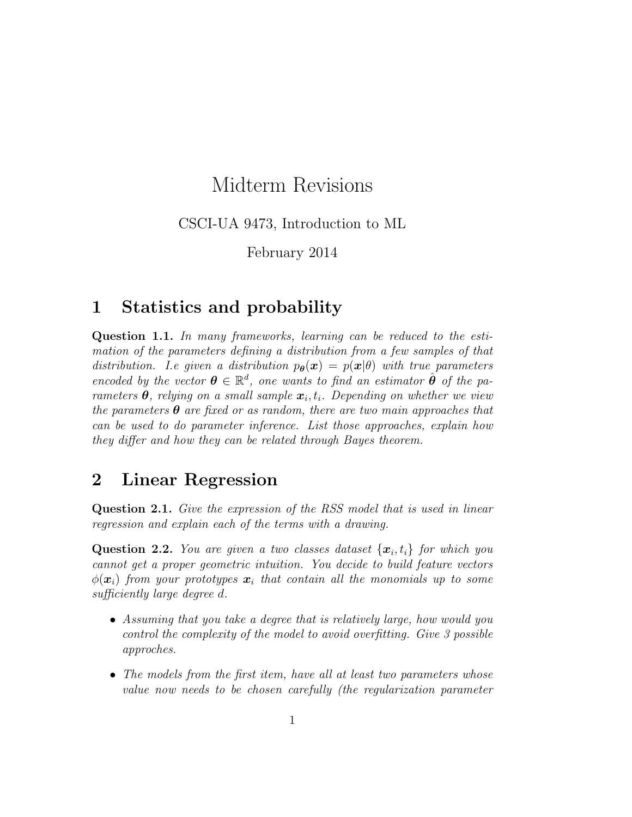# Midterm Revisions

CSCI-UA 9473, Introduction to ML

February 2014

# 1 Statistics and probability

Question 1.1. In many frameworks, learning can be reduced to the estimation of the parameters defining a distribution from a few samples of that distribution. I.e given a distribution  $p_{\theta}(x) = p(x|\theta)$  with true parameters encoded by the vector  $\boldsymbol{\theta} \in \mathbb{R}^d$ , one wants to find an estimator  $\hat{\boldsymbol{\theta}}$  of the parameters  $\boldsymbol{\theta}$ , relying on a small sample  $\boldsymbol{x}_i, t_i$ . Depending on whether we view the parameters  $\boldsymbol{\theta}$  are fixed or as random, there are two main approaches that can be used to do parameter inference. List those approaches, explain how they differ and how they can be related through Bayes theorem.

# 2 Linear Regression

Question 2.1. Give the expression of the RSS model that is used in linear regression and explain each of the terms with a drawing.

**Question 2.2.** You are given a two classes dataset  $\{x_i, t_i\}$  for which you cannot get a proper geometric intuition. You decide to build feature vectors  $\phi(\mathbf{x}_i)$  from your prototypes  $\mathbf{x}_i$  that contain all the monomials up to some sufficiently large degree d.

- Assuming that you take a degree that is relatively large, how would you control the complexity of the model to avoid overfitting. Give 3 possible approches.
- The models from the first item, have all at least two parameters whose value now needs to be chosen carefully (the regularization parameter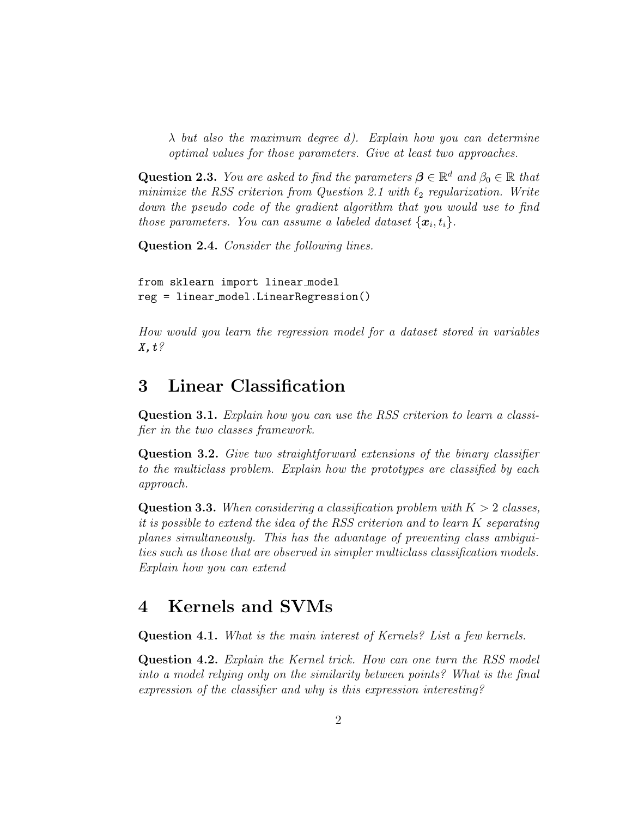$\lambda$  but also the maximum degree d). Explain how you can determine optimal values for those parameters. Give at least two approaches.

**Question 2.3.** You are asked to find the parameters  $\boldsymbol{\beta} \in \mathbb{R}^d$  and  $\beta_0 \in \mathbb{R}$  that minimize the RSS criterion from Question 2.1 with  $\ell_2$  regularization. Write down the pseudo code of the gradient algorithm that you would use to find those parameters. You can assume a labeled dataset  $\{\boldsymbol{x}_i, t_i\}$ .

Question 2.4. Consider the following lines.

from sklearn import linear model reg = linear model.LinearRegression()

How would you learn the regression model for a dataset stored in variables  $X, t$ ?

#### 3 Linear Classification

Question 3.1. Explain how you can use the RSS criterion to learn a classifier in the two classes framework.

Question 3.2. Give two straightforward extensions of the binary classifier to the multiclass problem. Explain how the prototypes are classified by each approach.

**Question 3.3.** When considering a classification problem with  $K > 2$  classes, it is possible to extend the idea of the RSS criterion and to learn K separating planes simultaneously. This has the advantage of preventing class ambiguities such as those that are observed in simpler multiclass classification models. Explain how you can extend

# 4 Kernels and SVMs

Question 4.1. What is the main interest of Kernels? List a few kernels.

Question 4.2. Explain the Kernel trick. How can one turn the RSS model into a model relying only on the similarity between points? What is the final expression of the classifier and why is this expression interesting?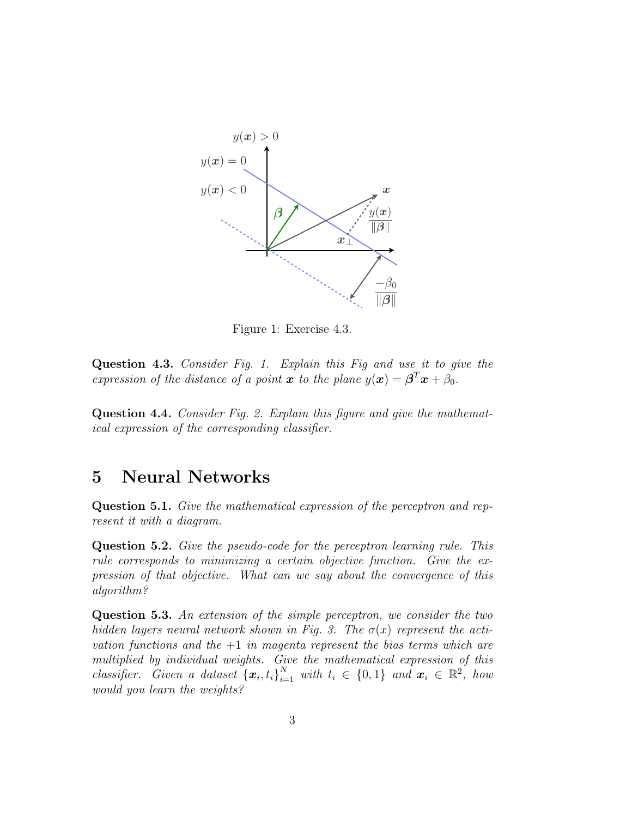

Figure 1: Exercise 4.3.

Question 4.3. Consider Fig. 1. Explain this Fig and use it to give the expression of the distance of a point **x** to the plane  $y(\mathbf{x}) = \boldsymbol{\beta}^T \mathbf{x} + \beta_0$ .

Question 4.4. Consider Fig. 2. Explain this figure and give the mathematical expression of the corresponding classifier.

# 5 Neural Networks

Question 5.1. Give the mathematical expression of the perceptron and represent it with a diagram.

Question 5.2. Give the pseudo-code for the perceptron learning rule. This rule corresponds to minimizing a certain objective function. Give the expression of that objective. What can we say about the convergence of this algorithm?

Question 5.3. An extension of the simple perceptron, we consider the two hidden layers neural network shown in Fig. 3. The  $\sigma(x)$  represent the activation functions and the  $+1$  in magenta represent the bias terms which are multiplied by individual weights. Give the mathematical expression of this classifier. Given a dataset  $\{x_i, t_i\}_{i=1}^N$  with  $t_i \in \{0, 1\}$  and  $x_i \in \mathbb{R}^2$ , how would you learn the weights?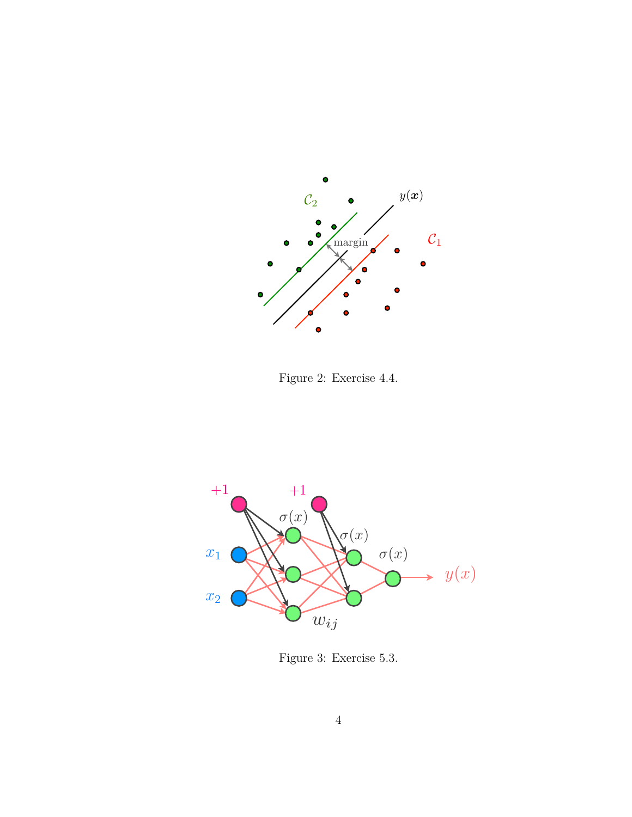

Figure 2: Exercise 4.4.



Figure 3: Exercise 5.3.